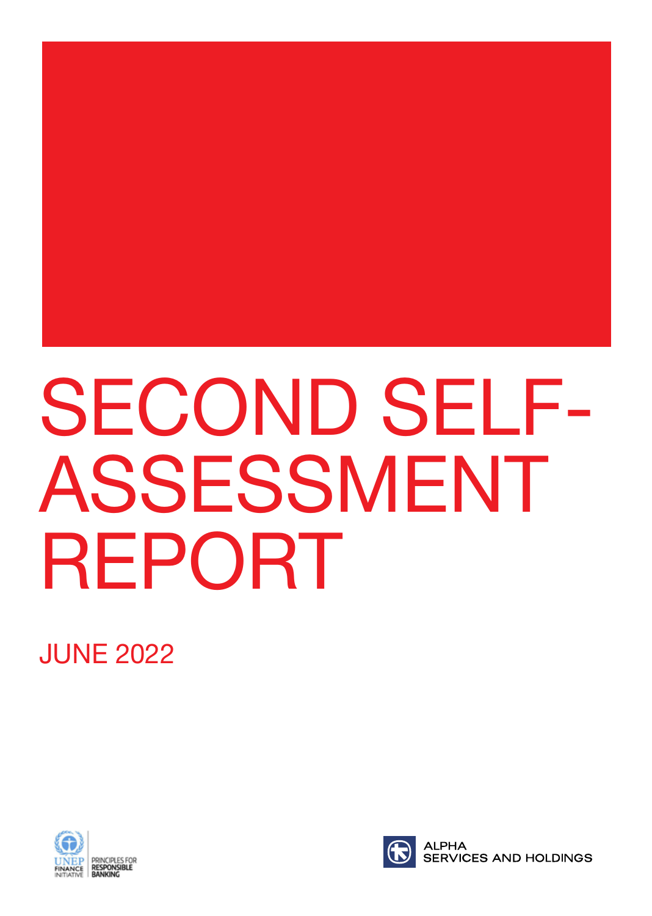# SECOND SELF-ASSESSMENT REPORT

JUNE 2022



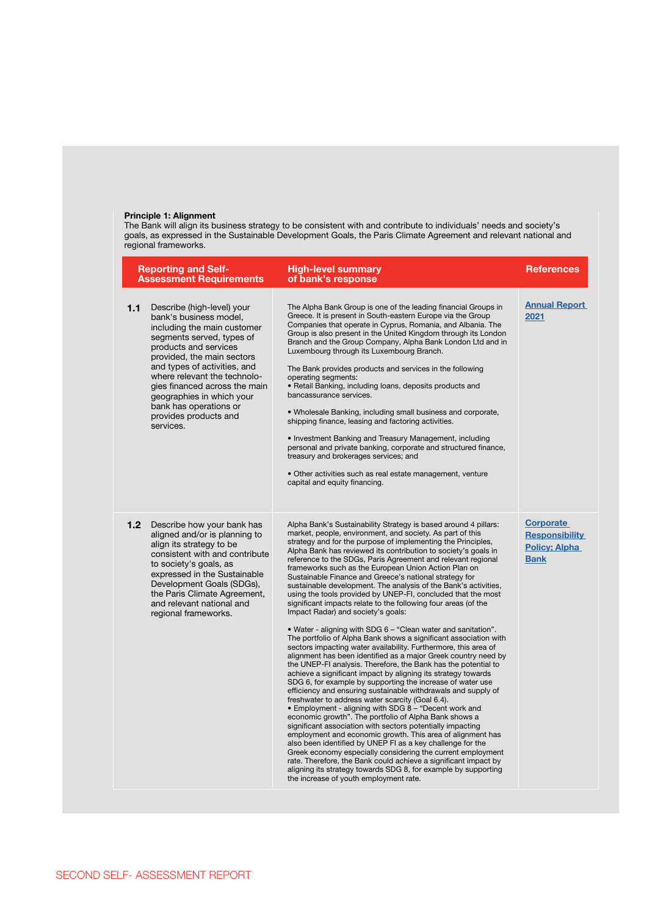### **Principle 1: Alignment**

The Bank will align its business strategy to be consistent with and contribute to individuals' needs and society's goals, as expressed in the Sustainable Development Goals, the Paris Climate Agreement and relevant national and regional frameworks.

|                  | <b>Reporting and Self-</b><br><b>Assessment Requirements</b>                                                                                                                                                                                                                                                                                                          | <b>High-level summary</b><br>of bank's response                                                                                                                                                                                                                                                                                                                                                                                                                                                                                                                                                                                                                                                                                                                                                                                                                                                                                                                                                                                                                                                                                                                                                                                                                                                                                                                                                                                                                                                                                                                                                                                                                                                                                                                                                                                                       | References                                                                       |
|------------------|-----------------------------------------------------------------------------------------------------------------------------------------------------------------------------------------------------------------------------------------------------------------------------------------------------------------------------------------------------------------------|-------------------------------------------------------------------------------------------------------------------------------------------------------------------------------------------------------------------------------------------------------------------------------------------------------------------------------------------------------------------------------------------------------------------------------------------------------------------------------------------------------------------------------------------------------------------------------------------------------------------------------------------------------------------------------------------------------------------------------------------------------------------------------------------------------------------------------------------------------------------------------------------------------------------------------------------------------------------------------------------------------------------------------------------------------------------------------------------------------------------------------------------------------------------------------------------------------------------------------------------------------------------------------------------------------------------------------------------------------------------------------------------------------------------------------------------------------------------------------------------------------------------------------------------------------------------------------------------------------------------------------------------------------------------------------------------------------------------------------------------------------------------------------------------------------------------------------------------------------|----------------------------------------------------------------------------------|
| 1.1              | Describe (high-level) your<br>bank's business model,<br>including the main customer<br>segments served, types of<br>products and services<br>provided, the main sectors<br>and types of activities, and<br>where relevant the technolo-<br>gies financed across the main<br>geographies in which your<br>bank has operations or<br>provides products and<br>services. | The Alpha Bank Group is one of the leading financial Groups in<br>Greece. It is present in South-eastern Europe via the Group<br>Companies that operate in Cyprus, Romania, and Albania. The<br>Group is also present in the United Kingdom through its London<br>Branch and the Group Company, Alpha Bank London Ltd and in<br>Luxembourg through its Luxembourg Branch.<br>The Bank provides products and services in the following<br>operating segments:<br>• Retail Banking, including loans, deposits products and<br>bancassurance services.<br>. Wholesale Banking, including small business and corporate,<br>shipping finance, leasing and factoring activities.<br>• Investment Banking and Treasury Management, including<br>personal and private banking, corporate and structured finance,<br>treasury and brokerages services; and<br>· Other activities such as real estate management, venture<br>capital and equity financing.                                                                                                                                                                                                                                                                                                                                                                                                                                                                                                                                                                                                                                                                                                                                                                                                                                                                                                      | <b>Annual Report</b><br>2021                                                     |
| 1.2 <sub>2</sub> | Describe how your bank has<br>aligned and/or is planning to<br>align its strategy to be<br>consistent with and contribute<br>to society's goals, as<br>expressed in the Sustainable<br>Development Goals (SDGs),<br>the Paris Climate Agreement,<br>and relevant national and<br>regional frameworks.                                                                 | Alpha Bank's Sustainability Strategy is based around 4 pillars:<br>market, people, environment, and society. As part of this<br>strategy and for the purpose of implementing the Principles,<br>Alpha Bank has reviewed its contribution to society's goals in<br>reference to the SDGs, Paris Agreement and relevant regional<br>frameworks such as the European Union Action Plan on<br>Sustainable Finance and Greece's national strategy for<br>sustainable development. The analysis of the Bank's activities,<br>using the tools provided by UNEP-FI, concluded that the most<br>significant impacts relate to the following four areas (of the<br>Impact Radar) and society's goals:<br>• Water - aligning with SDG 6 - "Clean water and sanitation".<br>The portfolio of Alpha Bank shows a significant association with<br>sectors impacting water availability. Furthermore, this area of<br>alignment has been identified as a major Greek country need by<br>the UNEP-FI analysis. Therefore, the Bank has the potential to<br>achieve a significant impact by aligning its strategy towards<br>SDG 6, for example by supporting the increase of water use<br>efficiency and ensuring sustainable withdrawals and supply of<br>freshwater to address water scarcity (Goal 6.4).<br>• Employment - aligning with SDG 8 - "Decent work and<br>economic growth". The portfolio of Alpha Bank shows a<br>significant association with sectors potentially impacting<br>employment and economic growth. This area of alignment has<br>also been identified by UNEP FI as a key challenge for the<br>Greek economy especially considering the current employment<br>rate. Therefore, the Bank could achieve a significant impact by<br>aligning its strategy towards SDG 8, for example by supporting<br>the increase of youth employment rate. | <b>Corporate</b><br><b>Responsibility</b><br><b>Policy; Alpha</b><br><b>Bank</b> |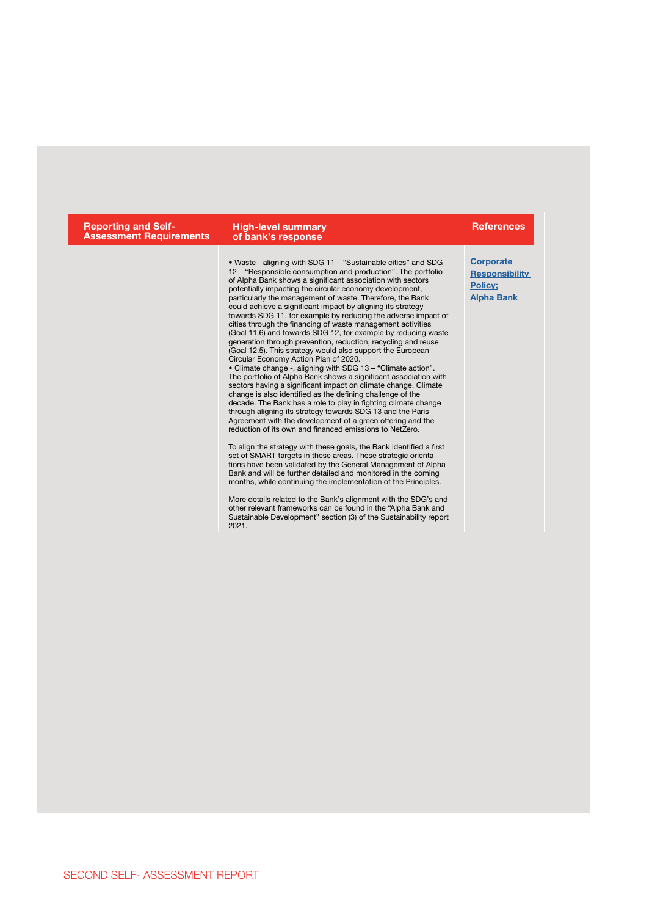| <b>Reporting and Self-</b><br><b>Assessment Requirements</b> | <b>High-level summary</b><br>of bank's response                                                                                                                                                                                                                                                                                                                                                                                                                                                                                                                                                                                                                                                                                                                                                                                                                                                                                                                                                                                                                                                                                                                                                                                                                                                                                                                                                                                                                                                                                                                                                                                                                                                                                                                                                                                                       | <b>References</b>                                                                |  |
|--------------------------------------------------------------|-------------------------------------------------------------------------------------------------------------------------------------------------------------------------------------------------------------------------------------------------------------------------------------------------------------------------------------------------------------------------------------------------------------------------------------------------------------------------------------------------------------------------------------------------------------------------------------------------------------------------------------------------------------------------------------------------------------------------------------------------------------------------------------------------------------------------------------------------------------------------------------------------------------------------------------------------------------------------------------------------------------------------------------------------------------------------------------------------------------------------------------------------------------------------------------------------------------------------------------------------------------------------------------------------------------------------------------------------------------------------------------------------------------------------------------------------------------------------------------------------------------------------------------------------------------------------------------------------------------------------------------------------------------------------------------------------------------------------------------------------------------------------------------------------------------------------------------------------------|----------------------------------------------------------------------------------|--|
|                                                              | . Waste - aligning with SDG 11 - "Sustainable cities" and SDG<br>12 – "Responsible consumption and production". The portfolio<br>of Alpha Bank shows a significant association with sectors<br>potentially impacting the circular economy development,<br>particularly the management of waste. Therefore, the Bank<br>could achieve a significant impact by aligning its strategy<br>towards SDG 11, for example by reducing the adverse impact of<br>cities through the financing of waste management activities<br>(Goal 11.6) and towards SDG 12, for example by reducing waste<br>generation through prevention, reduction, recycling and reuse<br>(Goal 12.5). This strategy would also support the European<br>Circular Economy Action Plan of 2020.<br>• Climate change -, aligning with SDG 13 - "Climate action".<br>The portfolio of Alpha Bank shows a significant association with<br>sectors having a significant impact on climate change. Climate<br>change is also identified as the defining challenge of the<br>decade. The Bank has a role to play in fighting climate change<br>through aligning its strategy towards SDG 13 and the Paris<br>Agreement with the development of a green offering and the<br>reduction of its own and financed emissions to NetZero.<br>To align the strategy with these goals, the Bank identified a first<br>set of SMART targets in these areas. These strategic orienta-<br>tions have been validated by the General Management of Alpha<br>Bank and will be further detailed and monitored in the coming<br>months, while continuing the implementation of the Principles.<br>More details related to the Bank's alignment with the SDG's and<br>other relevant frameworks can be found in the "Alpha Bank and<br>Sustainable Development" section (3) of the Sustainability report<br>2021. | <b>Corporate</b><br><b>Responsibility</b><br><b>Policy:</b><br><b>Alpha Bank</b> |  |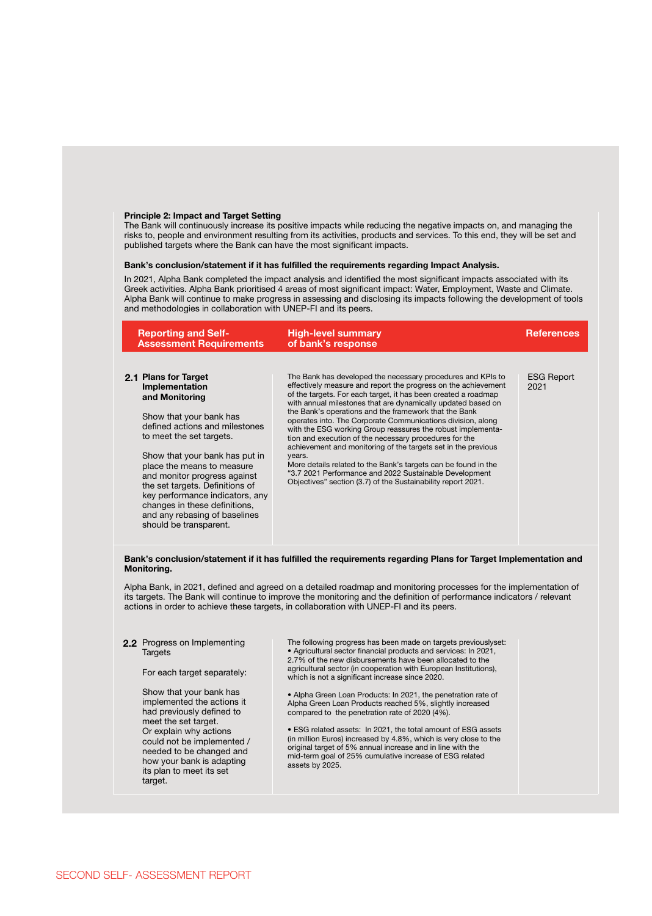#### **Principle 2: Impact and Target Setting**

The Bank will continuously increase its positive impacts while reducing the negative impacts on, and managing the risks to, people and environment resulting from its activities, products and services. To this end, they will be set and published targets where the Bank can have the most significant impacts.

#### **Bank's conclusion/statement if it has fulfilled the requirements regarding Impact Analysis.**

In 2021, Alpha Bank completed the impact analysis and identified the most significant impacts associated with its Greek activities. Alpha Bank prioritised 4 areas of most significant impact: Water, Employment, Waste and Climate. Alpha Bank will continue to make progress in assessing and disclosing its impacts following the development of tools and methodologies in collaboration with UNEP-FI and its peers.

| <b>Reporting and Self-</b><br><b>Assessment Requirements</b>                                                                                                                                                                                                                                                                                                                                                        | <b>High-level summary</b><br>of bank's response                                                                                                                                                                                                                                                                                                                                                                                                                                                                                                                                                                                                                                                                                                                                         | <b>References</b>         |
|---------------------------------------------------------------------------------------------------------------------------------------------------------------------------------------------------------------------------------------------------------------------------------------------------------------------------------------------------------------------------------------------------------------------|-----------------------------------------------------------------------------------------------------------------------------------------------------------------------------------------------------------------------------------------------------------------------------------------------------------------------------------------------------------------------------------------------------------------------------------------------------------------------------------------------------------------------------------------------------------------------------------------------------------------------------------------------------------------------------------------------------------------------------------------------------------------------------------------|---------------------------|
| 2.1 Plans for Target<br>Implementation<br>and Monitoring<br>Show that your bank has<br>defined actions and milestones<br>to meet the set targets.<br>Show that your bank has put in<br>place the means to measure<br>and monitor progress against<br>the set targets. Definitions of<br>key performance indicators, any<br>changes in these definitions,<br>and any rebasing of baselines<br>should be transparent. | The Bank has developed the necessary procedures and KPIs to<br>effectively measure and report the progress on the achievement<br>of the targets. For each target, it has been created a roadmap<br>with annual milestones that are dynamically updated based on<br>the Bank's operations and the framework that the Bank<br>operates into. The Corporate Communications division, along<br>with the ESG working Group reassures the robust implementa-<br>tion and execution of the necessary procedures for the<br>achievement and monitoring of the targets set in the previous<br>years.<br>More details related to the Bank's targets can be found in the<br>"3.7 2021 Performance and 2022 Sustainable Development<br>Objectives" section (3.7) of the Sustainability report 2021. | <b>ESG Report</b><br>2021 |

#### **Bank's conclusion/statement if it has fulfilled the requirements regarding Plans for Target Implementation and Monitoring.**

Alpha Bank, in 2021, defined and agreed on a detailed roadmap and monitoring processes for the implementation of its targets. The Bank will continue to improve the monitoring and the definition of performance indicators / relevant actions in order to achieve these targets, in collaboration with UNEP-FI and its peers.

#### Progress on Implementing **2.2 Targets**

#### For each target separately:

Show that your bank has implemented the actions it had previously defined to meet the set target. Or explain why actions could not be implemented / needed to be changed and how your bank is adapting its plan to meet its set target.

The following progress has been made on targets previouslyset: • Agricultural sector financial products and services: In 2021, 2.7% of the new disbursements have been allocated to the agricultural sector (in cooperation with European Institutions), which is not a significant increase since 2020.

• Alpha Green Loan Products: In 2021, the penetration rate of Alpha Green Loan Products reached 5%, slightly increased compared to the penetration rate of 2020 (4%).

• ESG related assets: In 2021, the total amount of ESG assets (in million Euros) increased by 4.8%, which is very close to the original target of 5% annual increase and in line with the mid-term goal of 25% cumulative increase of ESG related assets by 2025.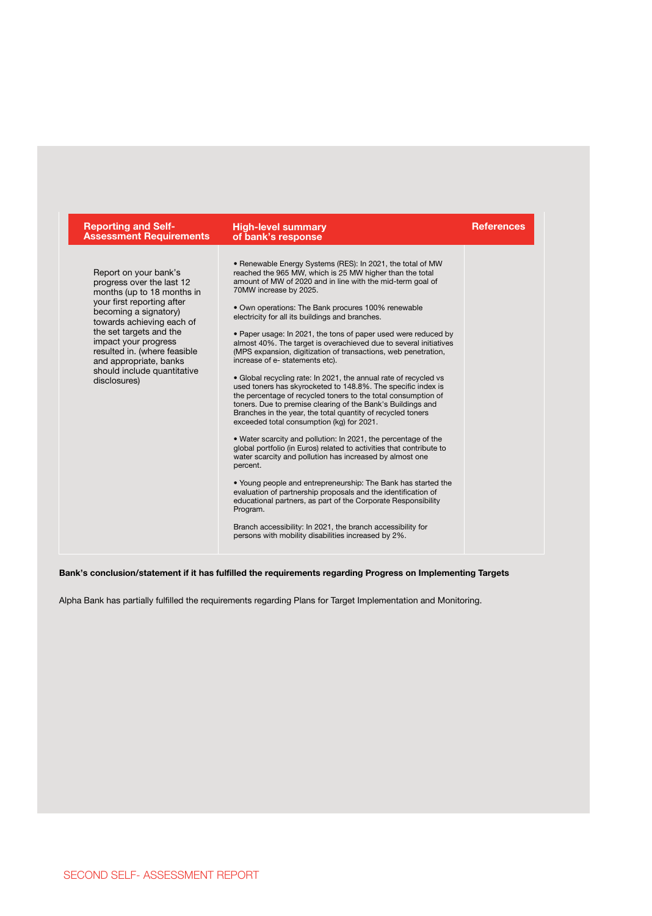| <b>Reporting and Self-</b><br><b>Assessment Requirements</b>                                                                                                                                                                                                                                                                     | <b>High-level summary</b><br>of bank's response                                                                                                                                                                                                                                                                                                                                                                                                                                                                                                                                                                                                                                                                                                                                                                                                                                                                                                                                                                                                                                                                                                                                                                                                                                                                                                                                                                                                                                                            | <b>References</b> |
|----------------------------------------------------------------------------------------------------------------------------------------------------------------------------------------------------------------------------------------------------------------------------------------------------------------------------------|------------------------------------------------------------------------------------------------------------------------------------------------------------------------------------------------------------------------------------------------------------------------------------------------------------------------------------------------------------------------------------------------------------------------------------------------------------------------------------------------------------------------------------------------------------------------------------------------------------------------------------------------------------------------------------------------------------------------------------------------------------------------------------------------------------------------------------------------------------------------------------------------------------------------------------------------------------------------------------------------------------------------------------------------------------------------------------------------------------------------------------------------------------------------------------------------------------------------------------------------------------------------------------------------------------------------------------------------------------------------------------------------------------------------------------------------------------------------------------------------------------|-------------------|
| Report on your bank's<br>progress over the last 12<br>months (up to 18 months in<br>your first reporting after<br>becoming a signatory)<br>towards achieving each of<br>the set targets and the<br>impact your progress<br>resulted in. (where feasible<br>and appropriate, banks<br>should include quantitative<br>disclosures) | • Renewable Energy Systems (RES): In 2021, the total of MW<br>reached the 965 MW, which is 25 MW higher than the total<br>amount of MW of 2020 and in line with the mid-term goal of<br>70MW increase by 2025.<br>• Own operations: The Bank procures 100% renewable<br>electricity for all its buildings and branches.<br>• Paper usage: In 2021, the tons of paper used were reduced by<br>almost 40%. The target is overachieved due to several initiatives<br>(MPS expansion, digitization of transactions, web penetration,<br>increase of e- statements etc).<br>• Global recycling rate: In 2021, the annual rate of recycled vs<br>used toners has skyrocketed to 148.8%. The specific index is<br>the percentage of recycled toners to the total consumption of<br>toners. Due to premise clearing of the Bank's Buildings and<br>Branches in the year, the total quantity of recycled toners<br>exceeded total consumption (kg) for 2021.<br>• Water scarcity and pollution: In 2021, the percentage of the<br>global portfolio (in Euros) related to activities that contribute to<br>water scarcity and pollution has increased by almost one<br>percent.<br>• Young people and entrepreneurship: The Bank has started the<br>evaluation of partnership proposals and the identification of<br>educational partners, as part of the Corporate Responsibility<br>Program.<br>Branch accessibility: In 2021, the branch accessibility for<br>persons with mobility disabilities increased by 2%. |                   |

# **Bank's conclusion/statement if it has fulfilled the requirements regarding Progress on Implementing Targets**

Alpha Bank has partially fulfilled the requirements regarding Plans for Target Implementation and Monitoring.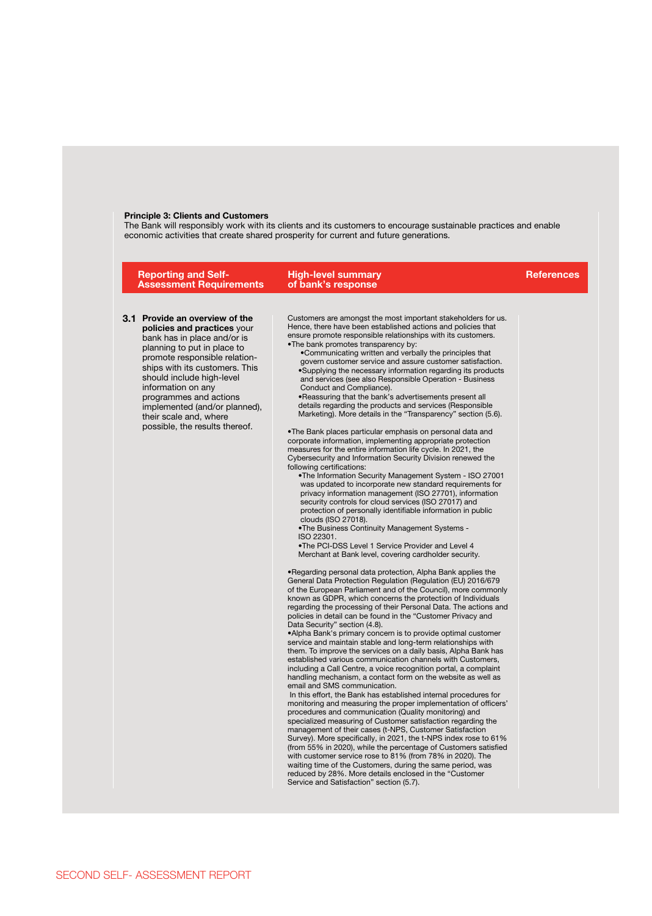# **Principle 3: Clients and Customers**

The Bank will responsibly work with its clients and its customers to encourage sustainable practices and enable<br>economic activities that create shared prosperity for current and future generations.

| <b>Reporting and Self-</b><br><b>Assessment Requirements</b>                                                                                                                                                                                                                                                                                                             | <b>High-level summary</b><br>of bank's response                                                                                                                                                                                                                                                                                                                                                                                                                                                                                                                                                                                                                                                                                                                                                                                                                                                                                                                                                                                                                                                                                                                                                                                                                                                                                                                                                                                                                                                                                                                                                                                                                                                                                                                                                                                                                                                                                                                                                                                                                                                                                                                                                                                                                                                                                                                                                                                                                                                                                                                                                                                                                                                                                                                                                                                                                                                                                                                                                                                                                                               | <b>References</b> |
|--------------------------------------------------------------------------------------------------------------------------------------------------------------------------------------------------------------------------------------------------------------------------------------------------------------------------------------------------------------------------|-----------------------------------------------------------------------------------------------------------------------------------------------------------------------------------------------------------------------------------------------------------------------------------------------------------------------------------------------------------------------------------------------------------------------------------------------------------------------------------------------------------------------------------------------------------------------------------------------------------------------------------------------------------------------------------------------------------------------------------------------------------------------------------------------------------------------------------------------------------------------------------------------------------------------------------------------------------------------------------------------------------------------------------------------------------------------------------------------------------------------------------------------------------------------------------------------------------------------------------------------------------------------------------------------------------------------------------------------------------------------------------------------------------------------------------------------------------------------------------------------------------------------------------------------------------------------------------------------------------------------------------------------------------------------------------------------------------------------------------------------------------------------------------------------------------------------------------------------------------------------------------------------------------------------------------------------------------------------------------------------------------------------------------------------------------------------------------------------------------------------------------------------------------------------------------------------------------------------------------------------------------------------------------------------------------------------------------------------------------------------------------------------------------------------------------------------------------------------------------------------------------------------------------------------------------------------------------------------------------------------------------------------------------------------------------------------------------------------------------------------------------------------------------------------------------------------------------------------------------------------------------------------------------------------------------------------------------------------------------------------------------------------------------------------------------------------------------------------|-------------------|
| 3.1 Provide an overview of the<br>policies and practices your<br>bank has in place and/or is<br>planning to put in place to<br>promote responsible relation-<br>ships with its customers. This<br>should include high-level<br>information on any<br>programmes and actions<br>implemented (and/or planned),<br>their scale and, where<br>possible, the results thereof. | Customers are amongst the most important stakeholders for us.<br>Hence, there have been established actions and policies that<br>ensure promote responsible relationships with its customers.<br>•The bank promotes transparency by:<br>•Communicating written and verbally the principles that<br>govern customer service and assure customer satisfaction.<br>•Supplying the necessary information regarding its products<br>and services (see also Responsible Operation - Business<br>Conduct and Compliance).<br>. Reassuring that the bank's advertisements present all<br>details regarding the products and services (Responsible<br>Marketing). More details in the "Transparency" section (5.6).<br>. The Bank places particular emphasis on personal data and<br>corporate information, implementing appropriate protection<br>measures for the entire information life cycle. In 2021, the<br>Cybersecurity and Information Security Division renewed the<br>following certifications:<br>.The Information Security Management System - ISO 27001<br>was updated to incorporate new standard requirements for<br>privacy information management (ISO 27701), information<br>security controls for cloud services (ISO 27017) and<br>protection of personally identifiable information in public<br>clouds (ISO 27018).<br>. The Business Continuity Management Systems -<br>ISO 22301.<br>.The PCI-DSS Level 1 Service Provider and Level 4<br>Merchant at Bank level, covering cardholder security.<br>. Regarding personal data protection, Alpha Bank applies the<br>General Data Protection Regulation (Regulation (EU) 2016/679<br>of the European Parliament and of the Council), more commonly<br>known as GDPR, which concerns the protection of Individuals<br>regarding the processing of their Personal Data. The actions and<br>policies in detail can be found in the "Customer Privacy and<br>Data Security" section (4.8).<br>.Alpha Bank's primary concern is to provide optimal customer<br>service and maintain stable and long-term relationships with<br>them. To improve the services on a daily basis, Alpha Bank has<br>established various communication channels with Customers,<br>including a Call Centre, a voice recognition portal, a complaint<br>handling mechanism, a contact form on the website as well as<br>email and SMS communication.<br>In this effort, the Bank has established internal procedures for<br>monitoring and measuring the proper implementation of officers'<br>procedures and communication (Quality monitoring) and<br>specialized measuring of Customer satisfaction regarding the<br>management of their cases (t-NPS, Customer Satisfaction<br>Survey). More specifically, in 2021, the t-NPS index rose to 61%<br>(from 55% in 2020), while the percentage of Customers satisfied<br>with customer service rose to 81% (from 78% in 2020). The<br>waiting time of the Customers, during the same period, was<br>reduced by 28%. More details enclosed in the "Customer"<br>Service and Satisfaction" section (5.7). |                   |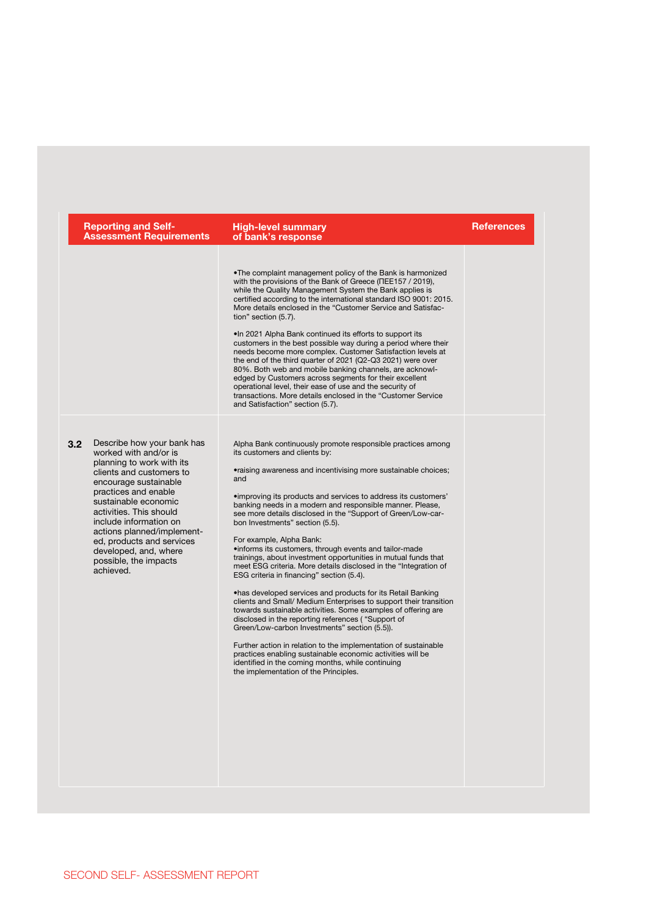| <b>Reporting and Self-</b><br><b>Assessment Requirements</b>                                                                                                                                                                                                                                                                                                             | <b>High-level summary</b><br>of bank's response                                                                                                                                                                                                                                                                                                                                                                                                                                                                                                                                                                                                                                                                                                                                                                                                                                                                                                                                                                                                                                                                                                                                                                              | <b>References</b> |
|--------------------------------------------------------------------------------------------------------------------------------------------------------------------------------------------------------------------------------------------------------------------------------------------------------------------------------------------------------------------------|------------------------------------------------------------------------------------------------------------------------------------------------------------------------------------------------------------------------------------------------------------------------------------------------------------------------------------------------------------------------------------------------------------------------------------------------------------------------------------------------------------------------------------------------------------------------------------------------------------------------------------------------------------------------------------------------------------------------------------------------------------------------------------------------------------------------------------------------------------------------------------------------------------------------------------------------------------------------------------------------------------------------------------------------------------------------------------------------------------------------------------------------------------------------------------------------------------------------------|-------------------|
|                                                                                                                                                                                                                                                                                                                                                                          | . The complaint management policy of the Bank is harmonized<br>with the provisions of the Bank of Greece (NEE157 / 2019),<br>while the Quality Management System the Bank applies is<br>certified according to the international standard ISO 9001: 2015.<br>More details enclosed in the "Customer Service and Satisfac-<br>tion" section (5.7).<br>.In 2021 Alpha Bank continued its efforts to support its<br>customers in the best possible way during a period where their<br>needs become more complex. Customer Satisfaction levels at<br>the end of the third quarter of 2021 (Q2-Q3 2021) were over<br>80%. Both web and mobile banking channels, are acknowl-<br>edged by Customers across segments for their excellent<br>operational level, their ease of use and the security of<br>transactions. More details enclosed in the "Customer Service"<br>and Satisfaction" section (5.7).                                                                                                                                                                                                                                                                                                                           |                   |
| 3.2 Describe how your bank has<br>worked with and/or is<br>planning to work with its<br>clients and customers to<br>encourage sustainable<br>practices and enable<br>sustainable economic<br>activities. This should<br>include information on<br>actions planned/implement-<br>ed, products and services<br>developed, and, where<br>possible, the impacts<br>achieved. | Alpha Bank continuously promote responsible practices among<br>its customers and clients by:<br>•raising awareness and incentivising more sustainable choices;<br>and<br>• improving its products and services to address its customers'<br>banking needs in a modern and responsible manner. Please,<br>see more details disclosed in the "Support of Green/Low-car-<br>bon Investments" section (5.5).<br>For example, Alpha Bank:<br>·informs its customers, through events and tailor-made<br>trainings, about investment opportunities in mutual funds that<br>meet ESG criteria. More details disclosed in the "Integration of<br>ESG criteria in financing" section (5.4).<br>.has developed services and products for its Retail Banking<br>clients and Small/ Medium Enterprises to support their transition<br>towards sustainable activities. Some examples of offering are<br>disclosed in the reporting references ("Support of<br>Green/Low-carbon Investments" section (5.5)).<br>Further action in relation to the implementation of sustainable<br>practices enabling sustainable economic activities will be<br>identified in the coming months, while continuing<br>the implementation of the Principles. |                   |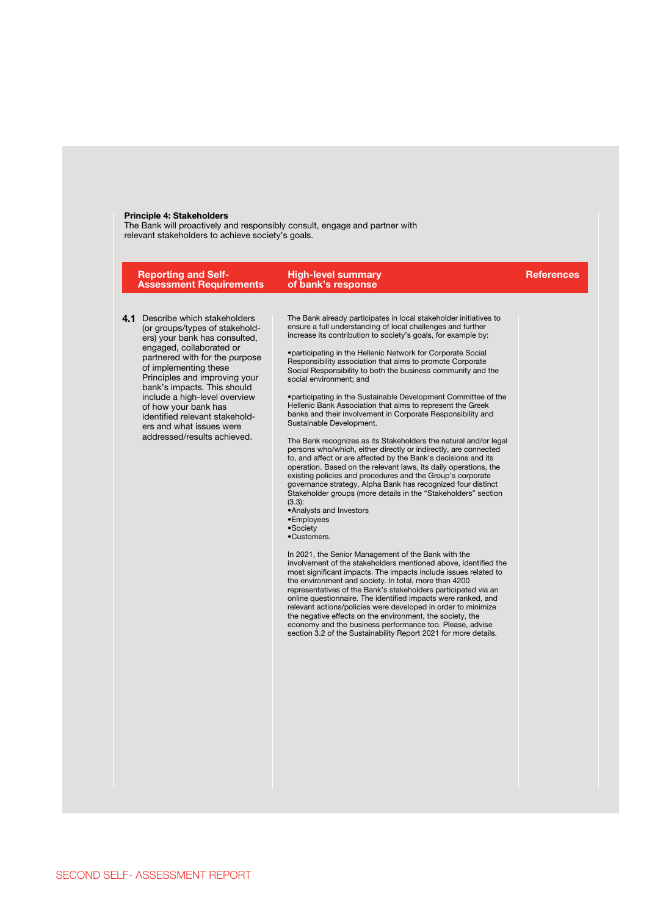#### **Principle 4: Stakeholders**

The Bank will proactively and responsibly consult, engage and partner with relevant stakeholders to achieve society's goals.

| <b>Reporting and Self-</b><br><b>Assessment Requirements</b>                                                                                                                                                                                                                                                                                                                                                       | <b>High-level summary</b><br>of bank's response                                                                                                                                                                                                                                                                                                                                                                                                                                                                                                                                                                                                                                                                                                                                                                                                                                                                                                                                                                                                                                                                                                                                                                                                                                                                                                                                                                                                                                                                                                                                                                                                                                                                                                                                                                                                                         | <b>References</b> |
|--------------------------------------------------------------------------------------------------------------------------------------------------------------------------------------------------------------------------------------------------------------------------------------------------------------------------------------------------------------------------------------------------------------------|-------------------------------------------------------------------------------------------------------------------------------------------------------------------------------------------------------------------------------------------------------------------------------------------------------------------------------------------------------------------------------------------------------------------------------------------------------------------------------------------------------------------------------------------------------------------------------------------------------------------------------------------------------------------------------------------------------------------------------------------------------------------------------------------------------------------------------------------------------------------------------------------------------------------------------------------------------------------------------------------------------------------------------------------------------------------------------------------------------------------------------------------------------------------------------------------------------------------------------------------------------------------------------------------------------------------------------------------------------------------------------------------------------------------------------------------------------------------------------------------------------------------------------------------------------------------------------------------------------------------------------------------------------------------------------------------------------------------------------------------------------------------------------------------------------------------------------------------------------------------------|-------------------|
| Describe which stakeholders<br>4.1<br>(or groups/types of stakehold-<br>ers) your bank has consulted,<br>engaged, collaborated or<br>partnered with for the purpose<br>of implementing these<br>Principles and improving your<br>bank's impacts. This should<br>include a high-level overview<br>of how your bank has<br>identified relevant stakehold-<br>ers and what issues were<br>addressed/results achieved. | The Bank already participates in local stakeholder initiatives to<br>ensure a full understanding of local challenges and further<br>increase its contribution to society's goals, for example by:<br>•participating in the Hellenic Network for Corporate Social<br>Responsibility association that aims to promote Corporate<br>Social Responsibility to both the business community and the<br>social environment; and<br>•participating in the Sustainable Development Committee of the<br>Hellenic Bank Association that aims to represent the Greek<br>banks and their involvement in Corporate Responsibility and<br>Sustainable Development.<br>The Bank recognizes as its Stakeholders the natural and/or legal<br>persons who/which, either directly or indirectly, are connected<br>to, and affect or are affected by the Bank's decisions and its<br>operation. Based on the relevant laws, its daily operations, the<br>existing policies and procedures and the Group's corporate<br>governance strategy, Alpha Bank has recognized four distinct<br>Stakeholder groups (more details in the "Stakeholders" section<br>$(3.3)$ :<br>•Analysts and Investors<br>•Employees<br>•Society<br>•Customers.<br>In 2021, the Senior Management of the Bank with the<br>involvement of the stakeholders mentioned above, identified the<br>most significant impacts. The impacts include issues related to<br>the environment and society. In total, more than 4200<br>representatives of the Bank's stakeholders participated via an<br>online questionnaire. The identified impacts were ranked, and<br>relevant actions/policies were developed in order to minimize<br>the negative effects on the environment, the society, the<br>economy and the business performance too. Please, advise<br>section 3.2 of the Sustainability Report 2021 for more details. |                   |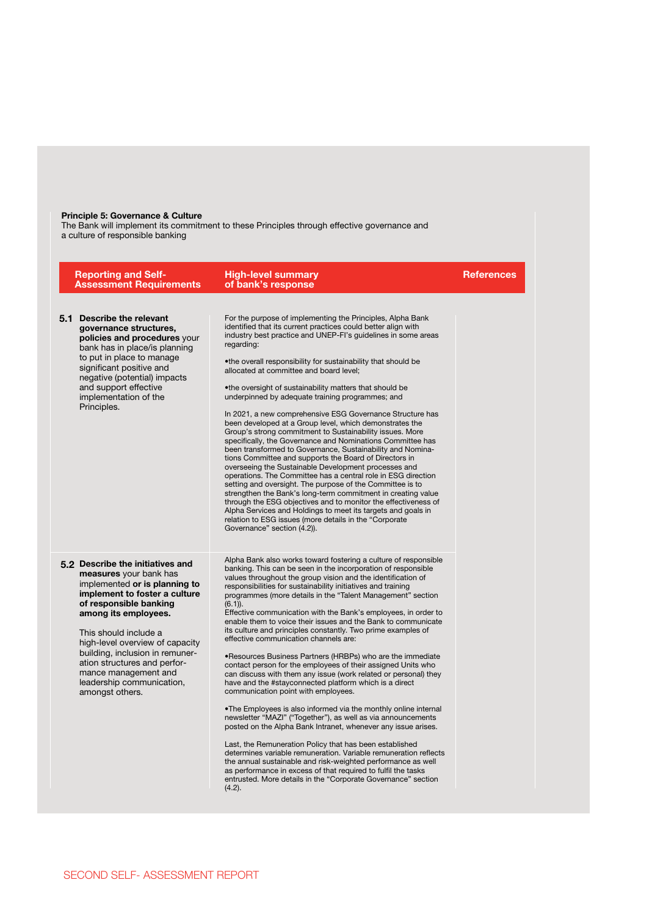#### **Principle 5: Governance & Culture**

The Bank will implement its commitment to these Principles through effective governance and a culture of responsible banking

| <b>Reporting and Self-</b><br><b>Assessment Requirements</b>                                                                                                                                                                                                                                                                                                                          | <b>High-level summary</b><br>of bank's response                                                                                                                                                                                                                                                                                                                                                                                                                                                                                                                                                                                                                                                                                                                                                                                                                                                                                                                                                                                                                                                                                                                                                                                                                                                                                                                                                                                                | <b>References</b> |
|---------------------------------------------------------------------------------------------------------------------------------------------------------------------------------------------------------------------------------------------------------------------------------------------------------------------------------------------------------------------------------------|------------------------------------------------------------------------------------------------------------------------------------------------------------------------------------------------------------------------------------------------------------------------------------------------------------------------------------------------------------------------------------------------------------------------------------------------------------------------------------------------------------------------------------------------------------------------------------------------------------------------------------------------------------------------------------------------------------------------------------------------------------------------------------------------------------------------------------------------------------------------------------------------------------------------------------------------------------------------------------------------------------------------------------------------------------------------------------------------------------------------------------------------------------------------------------------------------------------------------------------------------------------------------------------------------------------------------------------------------------------------------------------------------------------------------------------------|-------------------|
| 5.1 Describe the relevant<br>governance structures,<br>policies and procedures your<br>bank has in place/is planning<br>to put in place to manage<br>significant positive and<br>negative (potential) impacts<br>and support effective<br>implementation of the<br>Principles.                                                                                                        | For the purpose of implementing the Principles, Alpha Bank<br>identified that its current practices could better align with<br>industry best practice and UNEP-FI's guidelines in some areas<br>regarding:<br>.the overall responsibility for sustainability that should be<br>allocated at committee and board level;<br>.the oversight of sustainability matters that should be<br>underpinned by adequate training programmes; and<br>In 2021, a new comprehensive ESG Governance Structure has<br>been developed at a Group level, which demonstrates the<br>Group's strong commitment to Sustainability issues. More<br>specifically, the Governance and Nominations Committee has<br>been transformed to Governance, Sustainability and Nomina-<br>tions Committee and supports the Board of Directors in<br>overseeing the Sustainable Development processes and<br>operations. The Committee has a central role in ESG direction<br>setting and oversight. The purpose of the Committee is to<br>strengthen the Bank's long-term commitment in creating value<br>through the ESG objectives and to monitor the effectiveness of<br>Alpha Services and Holdings to meet its targets and goals in<br>relation to ESG issues (more details in the "Corporate<br>Governance" section (4.2)).                                                                                                                                               |                   |
| 5.2 Describe the initiatives and<br>measures your bank has<br>implemented or is planning to<br>implement to foster a culture<br>of responsible banking<br>among its employees.<br>This should include a<br>high-level overview of capacity<br>building, inclusion in remuner-<br>ation structures and perfor-<br>mance management and<br>leadership communication,<br>amongst others. | Alpha Bank also works toward fostering a culture of responsible<br>banking. This can be seen in the incorporation of responsible<br>values throughout the group vision and the identification of<br>responsibilities for sustainability initiatives and training<br>programmes (more details in the "Talent Management" section<br>$(6.1)$ ).<br>Effective communication with the Bank's employees, in order to<br>enable them to voice their issues and the Bank to communicate<br>its culture and principles constantly. Two prime examples of<br>effective communication channels are:<br>. Resources Business Partners (HRBPs) who are the immediate<br>contact person for the employees of their assigned Units who<br>can discuss with them any issue (work related or personal) they<br>have and the #stayconnected platform which is a direct<br>communication point with employees.<br>•The Employees is also informed via the monthly online internal<br>newsletter "MAZI" ("Together"), as well as via announcements<br>posted on the Alpha Bank Intranet, whenever any issue arises.<br>Last, the Remuneration Policy that has been established<br>determines variable remuneration. Variable remuneration reflects<br>the annual sustainable and risk-weighted performance as well<br>as performance in excess of that required to fulfil the tasks<br>entrusted. More details in the "Corporate Governance" section<br>$(4.2)$ . |                   |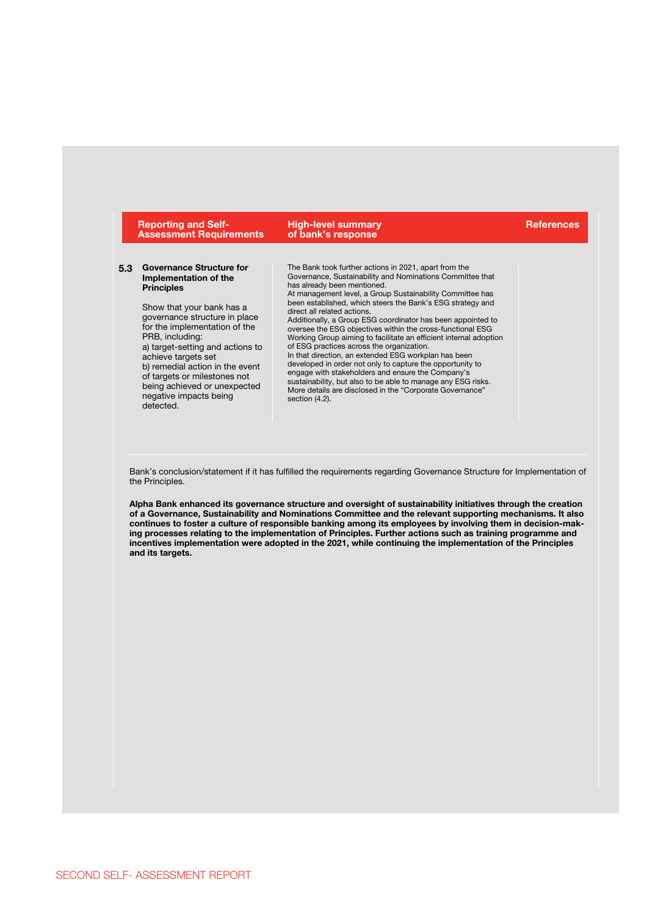|     | <b>Reporting and Self-</b><br><b>Assessment Requirements</b>                                                                                                                                                                                                                                                                                                                                         | <b>High-level summary</b><br>of bank's response                                                                                                                                                                                                                                                                                                                                                                                                                                                                                                                                                                                                                                                                                                                                                                                                                                       | <b>References</b> |
|-----|------------------------------------------------------------------------------------------------------------------------------------------------------------------------------------------------------------------------------------------------------------------------------------------------------------------------------------------------------------------------------------------------------|---------------------------------------------------------------------------------------------------------------------------------------------------------------------------------------------------------------------------------------------------------------------------------------------------------------------------------------------------------------------------------------------------------------------------------------------------------------------------------------------------------------------------------------------------------------------------------------------------------------------------------------------------------------------------------------------------------------------------------------------------------------------------------------------------------------------------------------------------------------------------------------|-------------------|
| 5.3 | <b>Governance Structure for</b><br>Implementation of the<br><b>Principles</b><br>Show that your bank has a<br>governance structure in place<br>for the implementation of the<br>PRB, including:<br>a) target-setting and actions to<br>achieve targets set<br>b) remedial action in the event<br>of targets or milestones not<br>being achieved or unexpected<br>negative impacts being<br>detected. | The Bank took further actions in 2021, apart from the<br>Governance, Sustainability and Nominations Committee that<br>has already been mentioned.<br>At management level, a Group Sustainability Committee has<br>been established, which steers the Bank's ESG strategy and<br>direct all related actions.<br>Additionally, a Group ESG coordinator has been appointed to<br>oversee the ESG objectives within the cross-functional ESG<br>Working Group aiming to facilitate an efficient internal adoption<br>of ESG practices across the organization.<br>In that direction, an extended ESG workplan has been<br>developed in order not only to capture the opportunity to<br>engage with stakeholders and ensure the Company's<br>sustainability, but also to be able to manage any ESG risks.<br>More details are disclosed in the "Corporate Governance"<br>section $(4.2)$ . |                   |
|     | the Principles.                                                                                                                                                                                                                                                                                                                                                                                      | Bank's conclusion/statement if it has fulfilled the requirements regarding Governance Structure for Implementation of                                                                                                                                                                                                                                                                                                                                                                                                                                                                                                                                                                                                                                                                                                                                                                 |                   |

**of a Governance, Sustainability and Nominations Committee and the relevant supporting mechanisms. It also continues to foster a culture of responsible banking among its employees by involving them in decision-making processes relating to the implementation of Principles. Further actions such as training programme and incentives implementation were adopted in the 2021, while continuing the implementation of the Principles and its targets.**